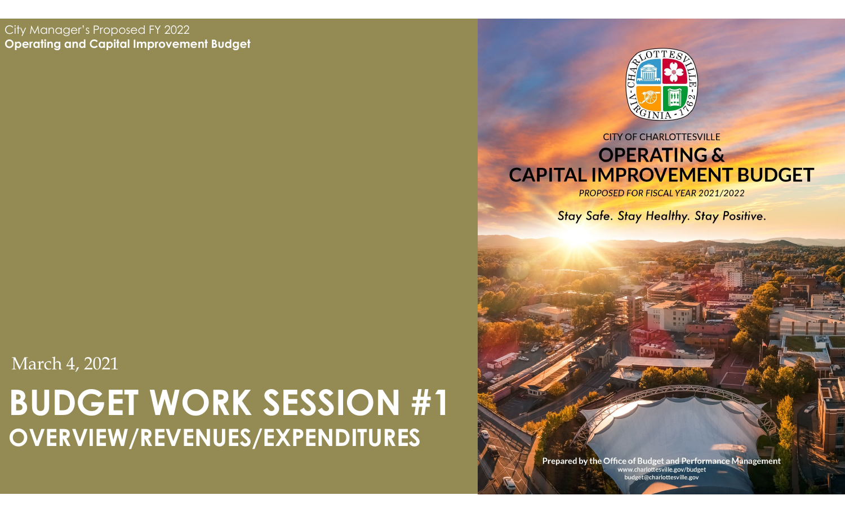#### City Manager's Proposed FY 2022 **Operating and Capital Improvement Budget**

### **BUDGET WORK SESSION #1 OVERVIEW/REVENUES/EXPENDITURES** March 4, 2021



#### **CITY OF CHARLOTTESVILLE OPERATING & CAPITAL IMPROVEMENT BUDGET**

PROPOSED FOR FISCAL YEAR 2021/2022

Stay Safe. Stay Healthy. Stay Positive.

Prepared by the Office of Budget and Performance Management www.charlottesville.gov/budget<br>budget@charlottesville.gov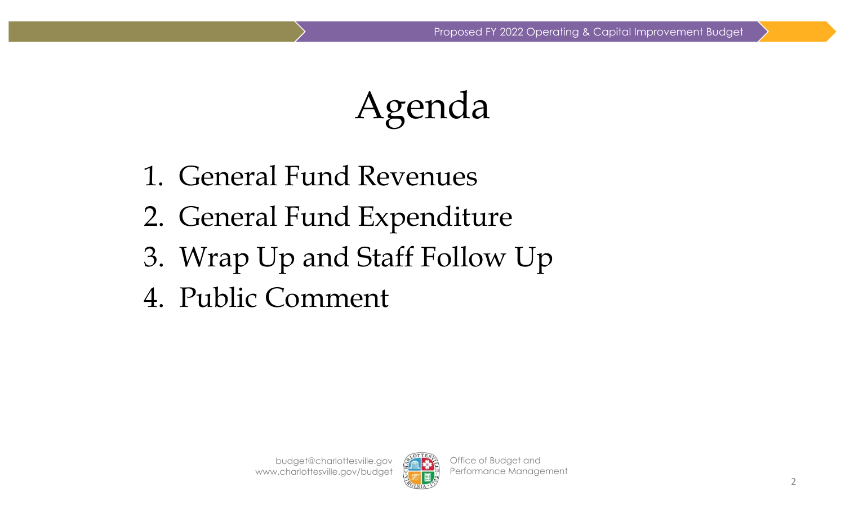Agenda

- 1. General Fund Revenues
- 2. General Fund Expenditure
- 3. Wrap Up and Staff Follow Up
- 4. Public Comment

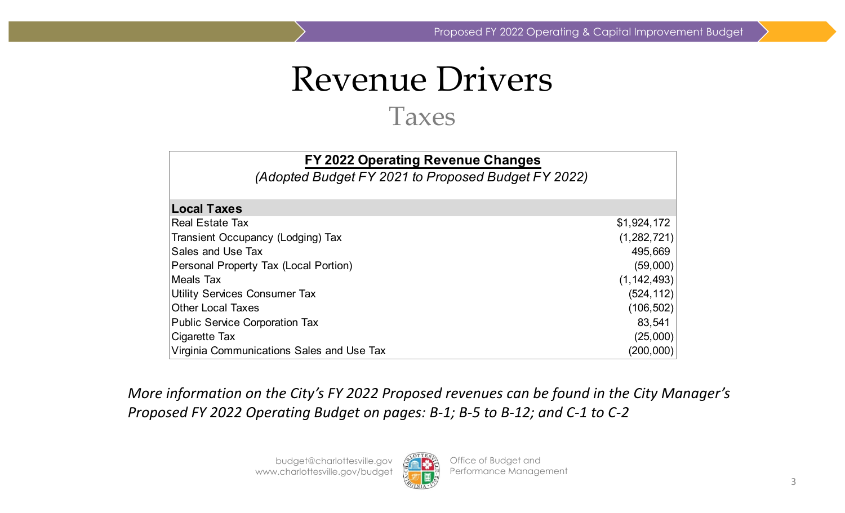### Revenue Drivers Taxes

| FY 2022 Operating Revenue Changes<br>(Adopted Budget FY 2021 to Proposed Budget FY 2022) |               |
|------------------------------------------------------------------------------------------|---------------|
| <b>Local Taxes</b>                                                                       |               |
| <b>Real Estate Tax</b>                                                                   | \$1,924,172   |
| Transient Occupancy (Lodging) Tax                                                        | (1,282,721)   |
| Sales and Use Tax                                                                        | 495,669       |
| Personal Property Tax (Local Portion)                                                    | (59,000)      |
| Meals Tax                                                                                | (1, 142, 493) |
| <b>Utility Services Consumer Tax</b>                                                     | (524, 112)    |
| <b>Other Local Taxes</b>                                                                 | (106, 502)    |
| <b>Public Service Corporation Tax</b>                                                    | 83,541        |
| Cigarette Tax                                                                            | (25,000)      |
| Virginia Communications Sales and Use Tax                                                | (200,000)     |

*More information on the City's FY 2022 Proposed revenues can be found in the City Manager's* Proposed FY 2022 Operating Budget on pages: B-1; B-5 to B-12; and C-1 to C-2

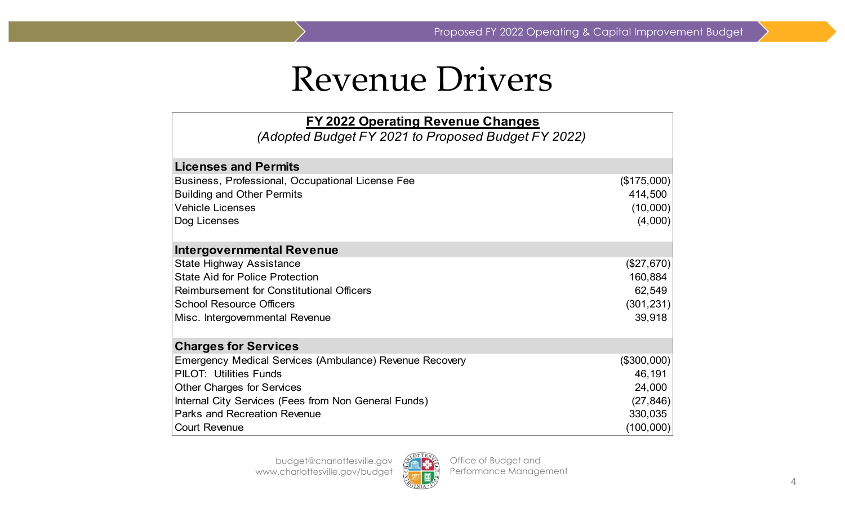### Revenue Drivers

| FY 2022 Operating Revenue Changes                              |             |
|----------------------------------------------------------------|-------------|
| (Adopted Budget FY 2021 to Proposed Budget FY 2022)            |             |
|                                                                |             |
| <b>Licenses and Permits</b>                                    |             |
| Business, Professional, Occupational License Fee               | (\$175,000) |
| <b>Building and Other Permits</b>                              | 414,500     |
| <b>Vehicle Licenses</b>                                        | (10,000)    |
| Dog Licenses                                                   | (4,000)     |
| <b>Intergovernmental Revenue</b>                               |             |
| <b>State Highway Assistance</b>                                | (\$27,670)  |
| <b>State Aid for Police Protection</b>                         | 160,884     |
| <b>Reimbursement for Constitutional Officers</b>               | 62,549      |
| <b>School Resource Officers</b>                                | (301, 231)  |
| Misc. Intergovernmental Revenue                                | 39,918      |
| <b>Charges for Services</b>                                    |             |
| <b>Emergency Medical Services (Ambulance) Revenue Recovery</b> | (\$300,000) |
| <b>PILOT: Utilities Funds</b>                                  | 46,191      |
| <b>Other Charges for Services</b>                              | 24,000      |
| Internal City Services (Fees from Non General Funds)           | (27, 846)   |
| <b>Parks and Recreation Revenue</b>                            | 330,035     |
| <b>Court Revenue</b>                                           | (100,000)   |

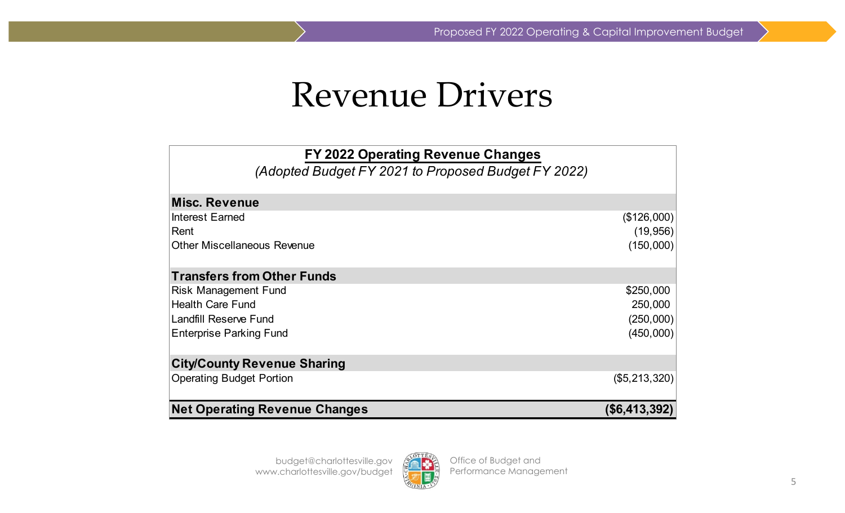Proposed FY 2022 Operating & Capital Improvement Budget

### Revenue Drivers

| FY 2022 Operating Revenue Changes<br>(Adopted Budget FY 2021 to Proposed Budget FY 2022) |                 |
|------------------------------------------------------------------------------------------|-----------------|
| <b>Misc. Revenue</b>                                                                     |                 |
| Interest Earned                                                                          | (\$126,000)     |
| Rent                                                                                     | (19, 956)       |
| <b>Other Miscellaneous Revenue</b>                                                       | (150,000)       |
| <b>Transfers from Other Funds</b>                                                        |                 |
| <b>Risk Management Fund</b>                                                              | \$250,000       |
| <b>Health Care Fund</b>                                                                  | 250,000         |
| <b>Landfill Reserve Fund</b>                                                             | (250,000)       |
| <b>Enterprise Parking Fund</b>                                                           | (450,000)       |
| <b>City/County Revenue Sharing</b>                                                       |                 |
| <b>Operating Budget Portion</b>                                                          | $(\$5,213,320)$ |
| <b>Net Operating Revenue Changes</b>                                                     | (S6, 413, 392)  |

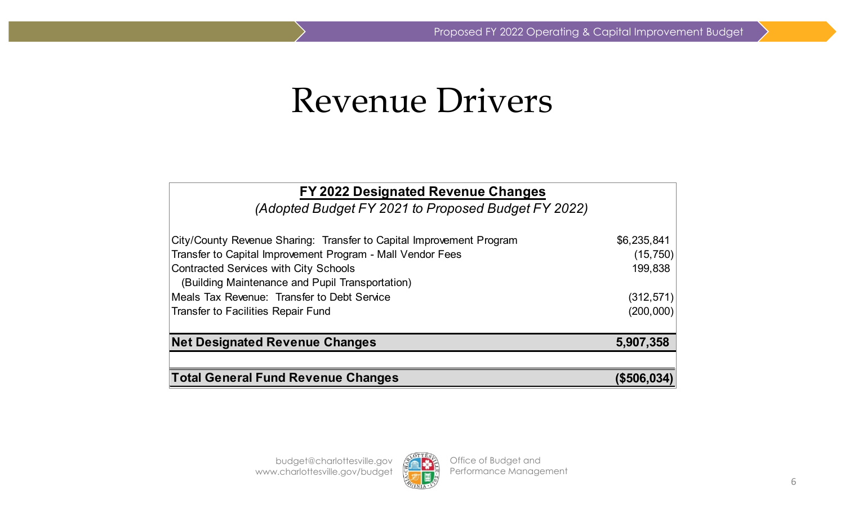### Revenue Drivers

| FY 2022 Designated Revenue Changes                                                              |             |
|-------------------------------------------------------------------------------------------------|-------------|
| (Adopted Budget FY 2021 to Proposed Budget FY 2022)                                             |             |
| City/County Revenue Sharing: Transfer to Capital Improvement Program                            | \$6,235,841 |
| Transfer to Capital Improvement Program - Mall Vendor Fees                                      | (15, 750)   |
| <b>Contracted Services with City Schools</b><br>(Building Maintenance and Pupil Transportation) | 199,838     |
| Meals Tax Revenue: Transfer to Debt Service                                                     | (312, 571)  |
| <b>Transfer to Facilities Repair Fund</b>                                                       | (200,000)   |
| <b>Net Designated Revenue Changes</b>                                                           | 5,907,358   |
|                                                                                                 |             |
| <b>Total General Fund Revenue Changes</b>                                                       | (\$506,034) |

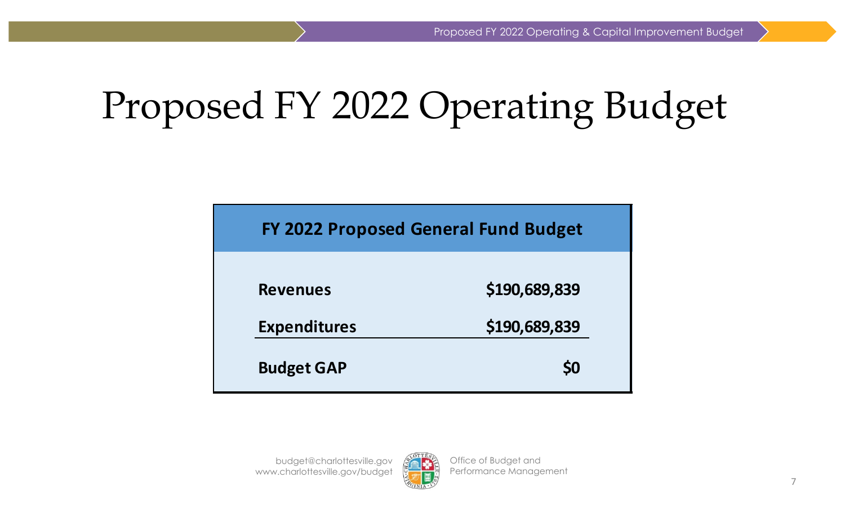# Proposed FY 2022 Operating Budget

**FY 2022 Proposed General Fund Budget**

| <b>Revenues</b>     | \$190,689,839<br>\$190,689,839 |
|---------------------|--------------------------------|
| <b>Expenditures</b> |                                |
|                     |                                |
| <b>Budget GAP</b>   | <b>SO</b>                      |

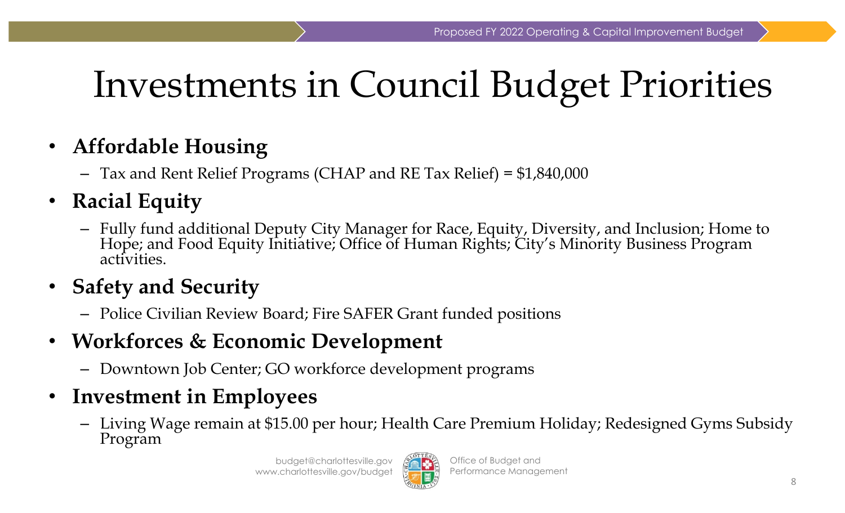## Investments in Council Budget Priorities

- $\bullet$  **Affordable Housing**
	- Tax and Rent Relief Programs (CHAP and RE Tax Relief) = \$1,840,000
- $\bullet$  **Racial Equity**
	- –Fully fund additional Deputy City Manager for Race, Equity, Diversity, and Inclusion; Home to Hope; and Food Equity Initiative; Office of Human Rights; City's Minority Business Program activities.
- $\bullet$  **Safety and Security**
	- Police Civilian Review Board; Fire SAFER Grant funded positions
- **Workforces & Economic Development**
	- –Downtown Job Center; GO workforce development programs
- $\bullet$  **Investment in Employees**
	- Living Wage remain at \$15.00 per hour; Health Care Premium Holiday; Redesigned Gyms Subsidy Program

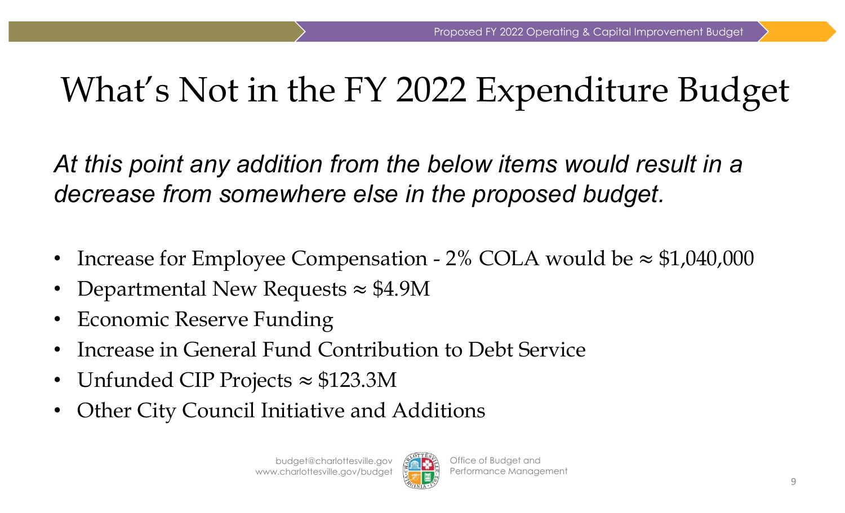## What's Not in the FY 2022 Expenditure Budget

*At this point any addition from the below items would result in a decrease from somewhere else in the proposed budget.*

- $\bullet$ Increase for Employee Compensation -  $2\%$  COLA would be  $\approx$  \$1,040,000
- •Departmental New Requests  $\approx$  \$4.9M
- •Economic Reserve Funding
- •Increase in General Fund Contribution to Debt Service
- Unfunded CIP Projects  $\approx\$123.3\text{M}$
- •Other City Council Initiative and Additions

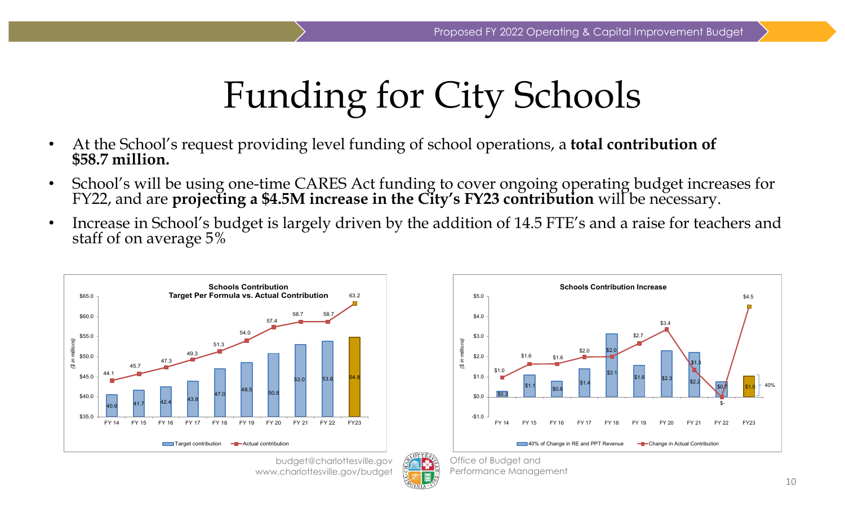# Funding for City Schools

- •At the School's request providing level funding of school operations, a **total contribution of \$58.7 million.**
- •School's will be using one-time CARES Act funding to cover ongoing operating budget increases for FY22, and are **projecting a \$4.5M increase in the City's FY23 contribution** will be necessary.
- •Increase in School's budget is largely driven by the addition of 14.5 FTE's and a raise for teachers and staff of on average 5%



budget@charlottesville.gov www.charlottesville.gov/budget



Office of Budget and Performance Management

**Schools Contribution Increase**\$5.0 \$4.5 \$4.0 \$3.4  $$2.7$ \$3.0 *(\$ in millions)* millio  $$2.0$ \$2.0  $$1.6$   $$1.6$ ءَ. \$1.3 છે  $$10$ \$3.1 \$1.0  $$1.6$   $$2.3$   $$2.2$  $$1.1 \quad \begin{array}{|l|} \hline \text{$}50.8 \end{array} \qquad $1.4$ 40% $$0/7$   $$1.0$ \$0.3 \$0.0 \$- -\$1.0 FY 14 FY 15 FY 16 FY 17 FY 18 FY 19 FY 20 FY 21 FY 22 FY23**COMB** 40% of Change in RE and PPT Revenue **Communist Contribution**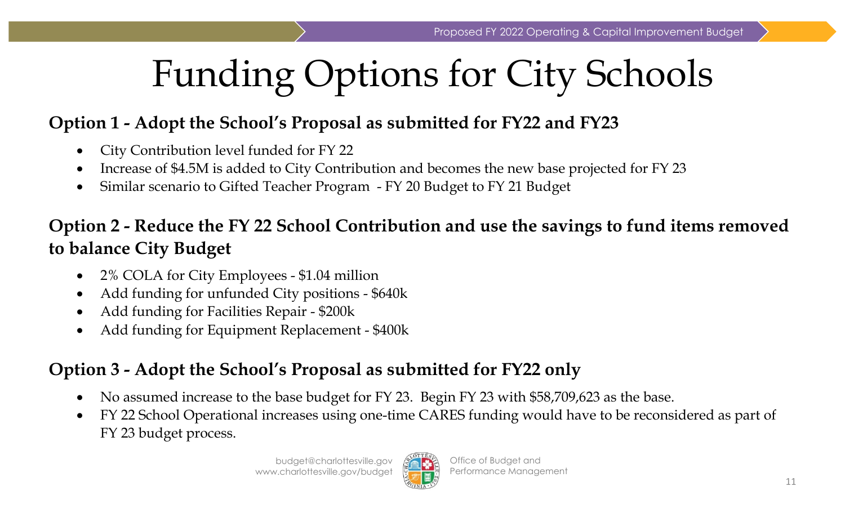# Funding Options for City Schools

#### **Option 1 - Adopt the School's Proposal as submitted for FY22 and FY23**

- $\bullet$ City Contribution level funded for FY 22
- 0 Increase of \$4.5M is added to City Contribution and becomes the new base projected for FY 23
- $\bullet$ Similar scenario to Gifted Teacher Program - FY 20 Budget to FY 21 Budget

#### **Option 2 - Reduce the FY 22 School Contribution and use the savings to fund items removed to balance City Budget**

- $\bullet$ 2% COLA for City Employees - \$1.04 million
- 0 Add funding for unfunded City positions - \$640k
- $\bullet$ Add funding for Facilities Repair - \$200k
- 0 Add funding for Equipment Replacement - \$400k

#### **Option 3 - Adopt the School's Proposal as submitted for FY22 only**

- $\bullet$ No assumed increase to the base budget for FY 23. Begin FY 23 with \$58,709,623 as the base.
- $\bullet$  FY 22 School Operational increases using one-time CARES funding would have to be reconsidered as part of FY 23 budget process.

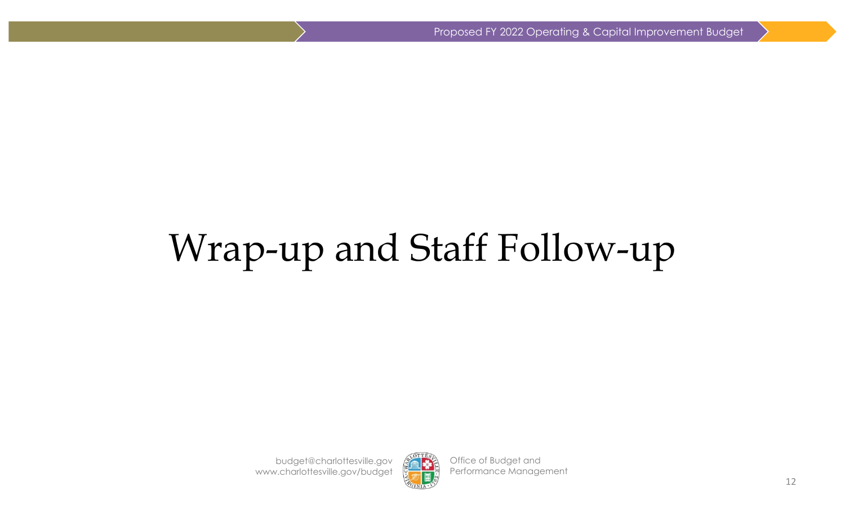# Wrap-up and Staff Follow-up

budget@charlottesville.gov www.charlottesville.gov/budget



Office of Budget and Performance Management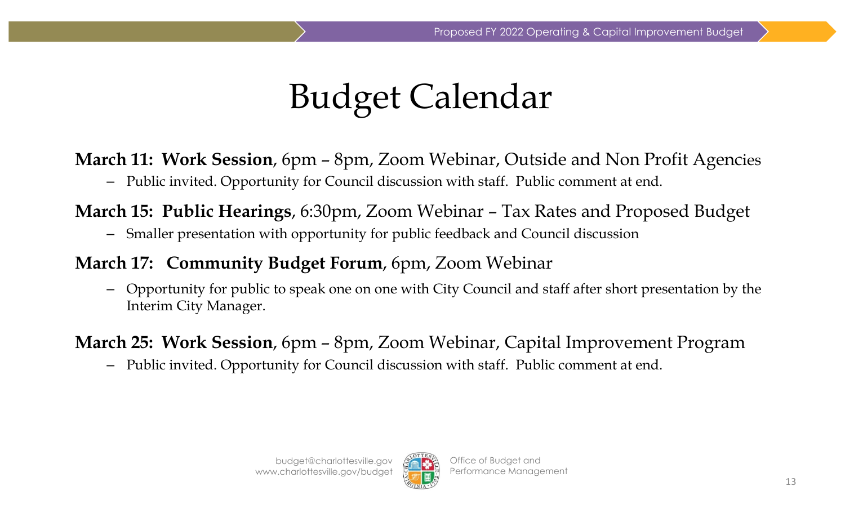## Budget Calendar

**March 11: Work Session**, 6pm – 8pm, Zoom Webinar, Outside and Non Profit Agencies

– Public invited. Opportunity for Council discussion with staff. Public comment at end.

**March 15: Public Hearings**, 6:30pm, Zoom Webinar – Tax Rates and Proposed Budget

– Smaller presentation with opportunity for public feedback and Council discussion

#### **March 17: Community Budget Forum**, 6pm, Zoom Webinar

– Opportunity for public to speak one on one with City Council and staff after short presentation by the Interim City Manager.

**March 25: Work Session**, 6pm – 8pm, Zoom Webinar, Capital Improvement Program

–Public invited. Opportunity for Council discussion with staff. Public comment at end.

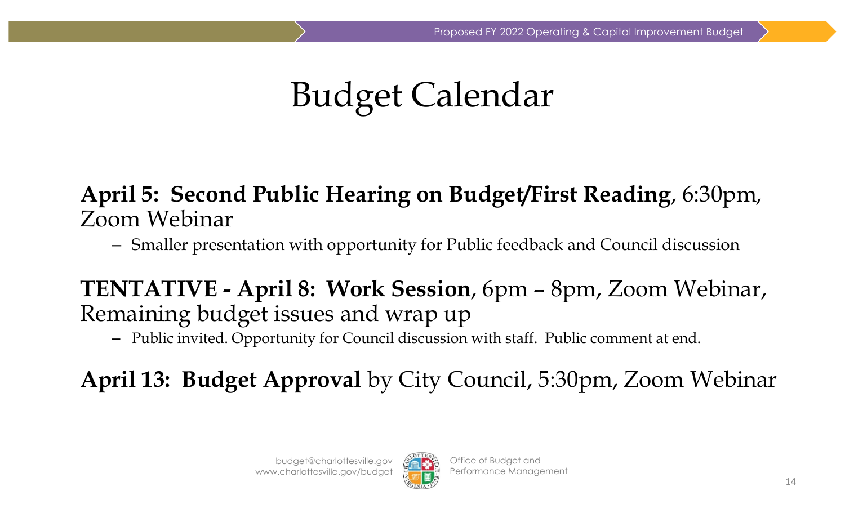## Budget Calendar

#### **April 5: Second Public Hearing on Budget/First Reading**, 6:30pm, Zoom Webinar

Smaller presentation with opportunity for Public feedback and Council discussion

**TENTATIVE - April 8: Work Session**, 6pm – 8pm, Zoom Webinar, Remaining budget issues and wrap up

– Public invited. Opportunity for Council discussion with staff. Public comment at end.

**April 13: Budget Approval** by City Council, 5:30pm, Zoom Webinar